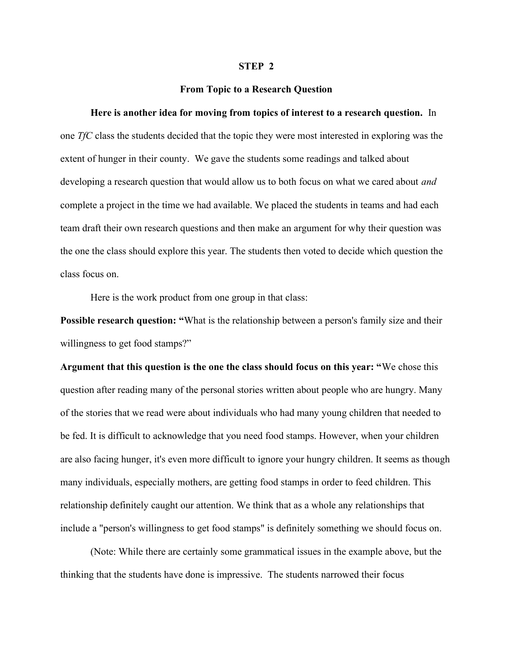## STEP 2

## From Topic to a Research Question

## Here is another idea for moving from topics of interest to a research question. In

one TfC class the students decided that the topic they were most interested in exploring was the extent of hunger in their county. We gave the students some readings and talked about developing a research question that would allow us to both focus on what we cared about *and* complete a project in the time we had available. We placed the students in teams and had each team draft their own research questions and then make an argument for why their question was the one the class should explore this year. The students then voted to decide which question the class focus on.

Here is the work product from one group in that class:

**Possible research question: "What is the relationship between a person's family size and their** willingness to get food stamps?"

Argument that this question is the one the class should focus on this year: "We chose this question after reading many of the personal stories written about people who are hungry. Many of the stories that we read were about individuals who had many young children that needed to be fed. It is difficult to acknowledge that you need food stamps. However, when your children are also facing hunger, it's even more difficult to ignore your hungry children. It seems as though many individuals, especially mothers, are getting food stamps in order to feed children. This relationship definitely caught our attention. We think that as a whole any relationships that include a "person's willingness to get food stamps" is definitely something we should focus on.

(Note: While there are certainly some grammatical issues in the example above, but the thinking that the students have done is impressive. The students narrowed their focus